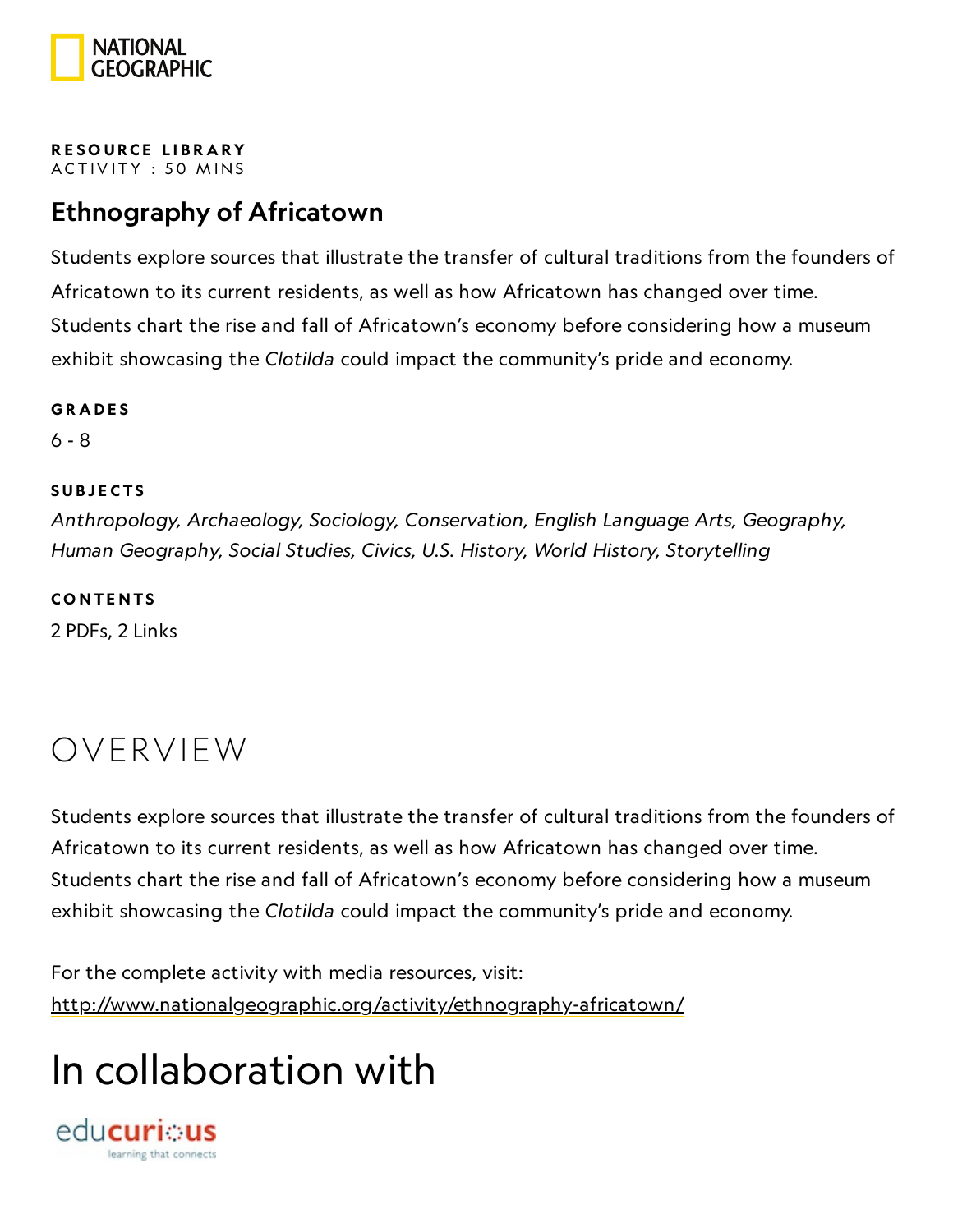

#### RESOURCE LIBRA[RY](https://www.nationalgeographic.org/education/resource-library/) ACTIVITY : 50 MINS

## Ethnography of Africatown

Students explore sources that illustrate the transfer of cultural traditions from the founders of Africatown to its current residents, as well as how Africatown has changed over time. Students chart the rise and fall of Africatown's economy before considering how a museum exhibit showcasing the Clotilda could impact the community's pride and economy.

#### **GRADES**

6 - 8

### **SUBJECTS**

Anthropology, Archaeology, Sociology, Conservation, English Language Arts, Geography, Human Geography, Social Studies, Civics, U.S. History, World History, Storytelling

**CONTENTS** 

2 PDFs, 2 Links

## OVERVIEW

Students explore sources that illustrate the transfer of cultural traditions from the founders of Africatown to its current residents, as well as how Africatown has changed over time. Students chart the rise and fall of Africatown's economy before considering how a museum exhibit showcasing the Clotilda could impact the community's pride and economy.

For the complete activity with media resources, visit: <http://www.nationalgeographic.org/activity/ethnography-africatown/>

## In collaboration with

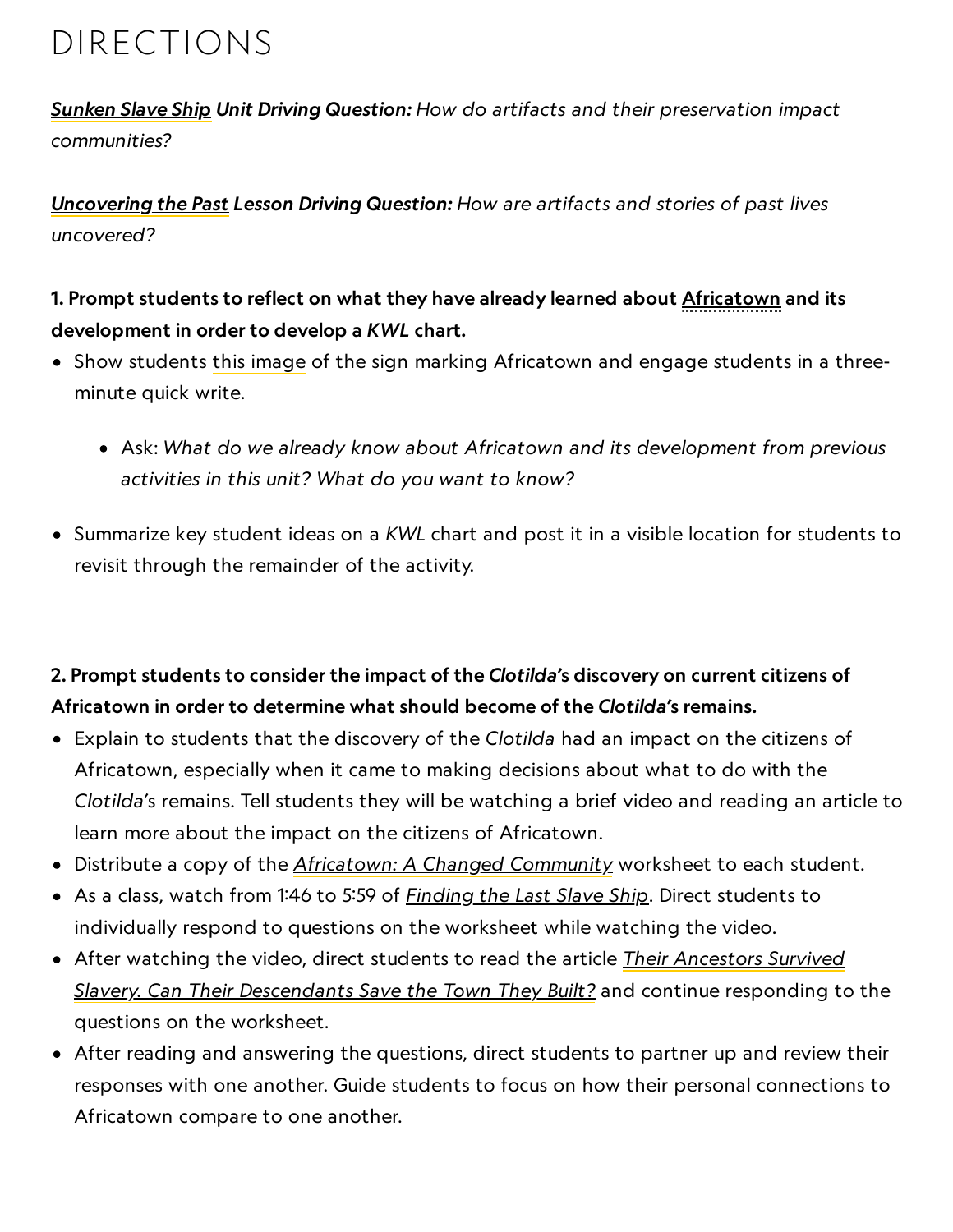## DIRECTIONS

[Sunken](https://www.nationalgeographic.org/unit/sunken-slave-ship/) Slave Ship Unit Driving Question: How do artifacts and their preservation impact communities?

[Uncovering](https://www.nationalgeographic.org/lesson/uncovering-past/) the Past Lesson Driving Question: How are artifacts and stories of past lives uncovered?

## 1. Prompt students to reflect on what they have already learned about Africatown and its development in order to develop a KWL chart.

- Show students this [image](https://www.al.com/live/2013/11/africatown_welcoming_center_tr.html) of the sign marking Africatown and engage students in a threeminute quick write.
	- Ask: What do we already know about Africatown and its development from previous activities in this unit? What do you want to know?
- Summarize key student ideas on a KWL chart and post it in a visible location for students to revisit through the remainder of the activity.

## 2. Prompt students to consider the impact of the Clotilda's discovery on current citizens of Africatown in order to determine what should become of the Clotilda's remains.

- Explain to students that the discovery of the Clotilda had an impact on the citizens of Africatown, especially when it came to making decisions about what to do with the Clotilda's remains. Tell students they will be watching a brief video and reading an article to learn more about the impact on the citizens of Africatown.
- Distribute a copy of the [Africatown: A](https://media.nationalgeographic.org/assets/file/AfricatownAChangedCommunity.pdf) Changed Community worksheet to each student.
- As a class, watch from 1:46 to 5:59 of **[Finding](https://www.nationalgeographic.org/video/finding-last-slave-ship/) the Last Slave Ship**. Direct students to individually respond to questions on the worksheet while watching the video.
- After watching the video, direct students to read the article *Their Ancestors Survived* Slavery. Can Their [Descendants](https://www.nationalgeographic.com/culture/2019/02/africatown-founded-by-freed-slaves-can-past-save-its-future/) Save the Town They Built? and continue responding to the questions on the worksheet.
- After reading and answering the questions, direct students to partner up and review their responses with one another. Guide students to focus on how their personal connections to Africatown compare to one another.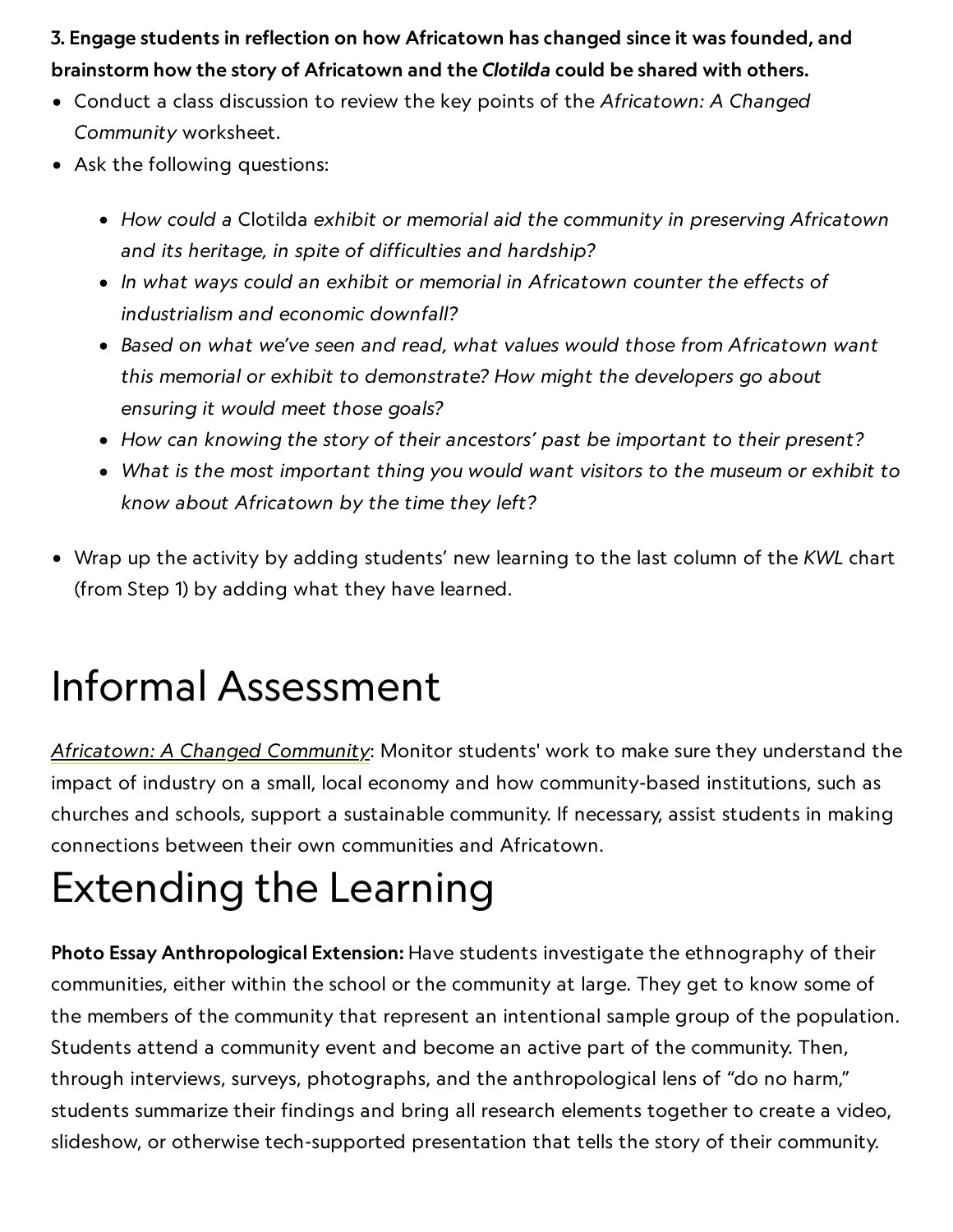3. Engage students in reflection on how Africatown has changed since it was founded, and brainstorm how the story of Africatown and the Clotilda could be shared with others.

- Conduct a class discussion to review the key points of the Africatown: A Changed Community worksheet.
- Ask the following questions:
	- How could a Clotilda exhibit or memorial aid the community in preserving Africatown and its heritage, in spite of difficulties and hardship?
	- In what ways could an exhibit or memorial in Africatown counter the effects of industrialism and economic downfall?
	- Based on what we've seen and read, what values would those from Africatown want this memorial or exhibit to demonstrate? How might the developers go about ensuring it would meet those goals?
	- How can knowing the story of their ancestors' past be important to their present?
	- What is the most important thing you would want visitors to the museum or exhibit to know about Africatown by the time they left?
- Wrap up the activity by adding students' new learning to the last column of the KWL chart (from Step 1) by adding what they have learned.

## Informal Assessment

[Africatown: A](https://media.nationalgeographic.org/assets/file/AfricatownAChangedCommunity.pdf) Changed Community: Monitor students' work to make sure they understand the impact of industry on a small, local economy and how community-based institutions, such as churches and schools, support a sustainable community. If necessary, assist students in making connections between their own communities and Africatown.

## Extending the Learning

Photo Essay Anthropological Extension: Have students investigate the ethnography of their communities, either within the school or the community at large. They get to know some of the members of the community that represent an intentional sample group of the population. Students attend a community event and become an active part of the community. Then, through interviews, surveys, photographs, and the anthropological lens of "do no harm," students summarize their findings and bring all research elements together to create a video, slideshow, or otherwise tech-supported presentation that tells the story of their community.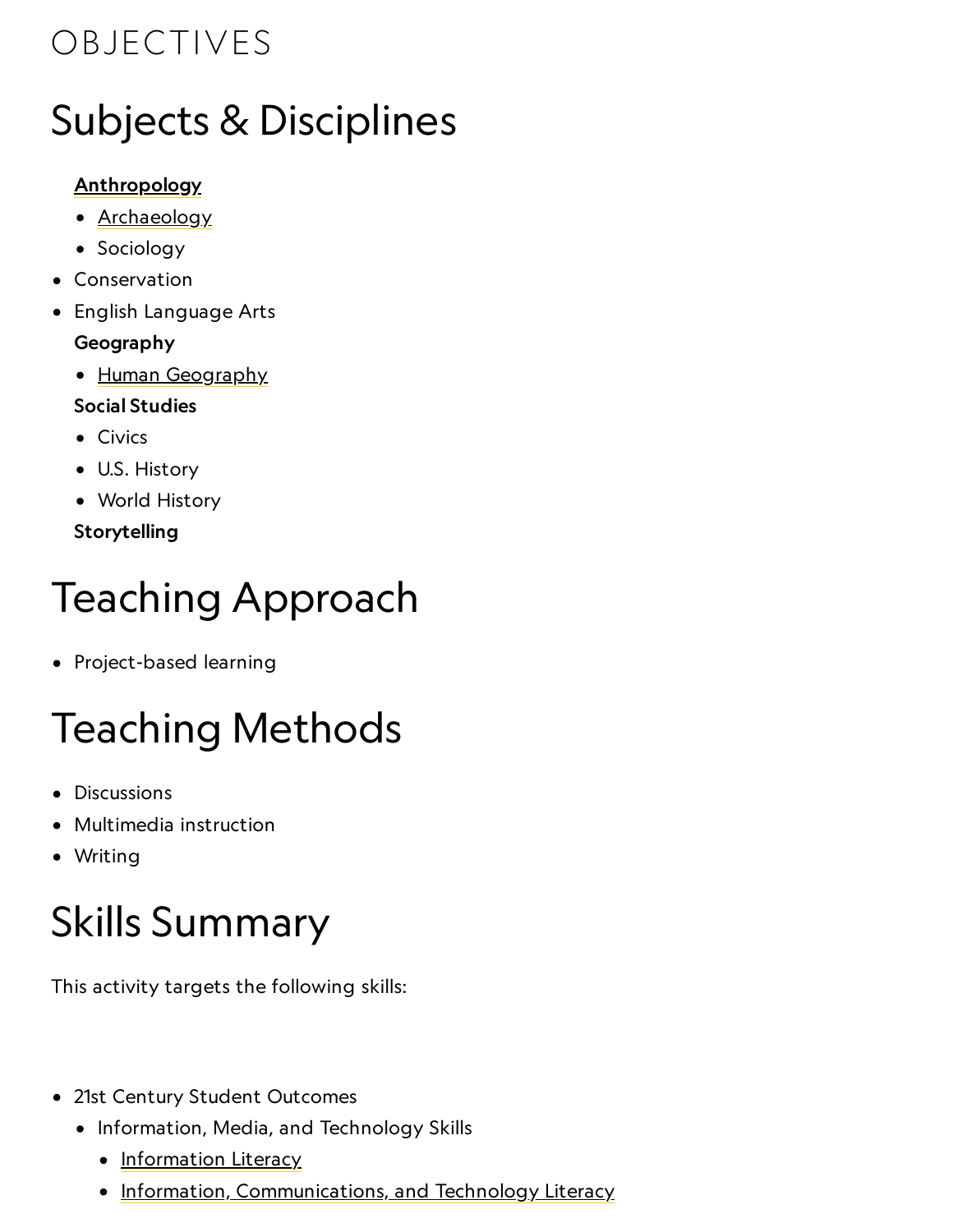## OBJECTIVES

## Subjects & Disciplines

## **[Anthropology](http://education.nationalgeographic.com/education/encyclopedia/anthropology/?ar_a=1)**

- [Archaeology](http://education.nationalgeographic.com/education/encyclopedia/archaeology/?ar_a=1)
- Sociology
- Conservation
- English Language Arts

## Geography

• Human [Geography](https://www.nationalgeographic.org/encyclopedia/geography/)

## Social Studies

- Civics
- U.S. History
- World History

Storytelling

# Teaching Approach

• Project-based learning

# Teaching Methods

- Discussions
- Multimedia instruction
- Writing

# Skills Summary

This activity targets the following skills:

- 21st Century Student Outcomes
	- Information, Media, and Technology Skills
		- [Information](http://www.p21.org/index.php?option=com_content&task=view&id=264&Itemid=120) Literacy
		- [Information, Communications, and](http://www.p21.org/index.php?option=com_content&task=view&id=350&Itemid=120) Technology Literacy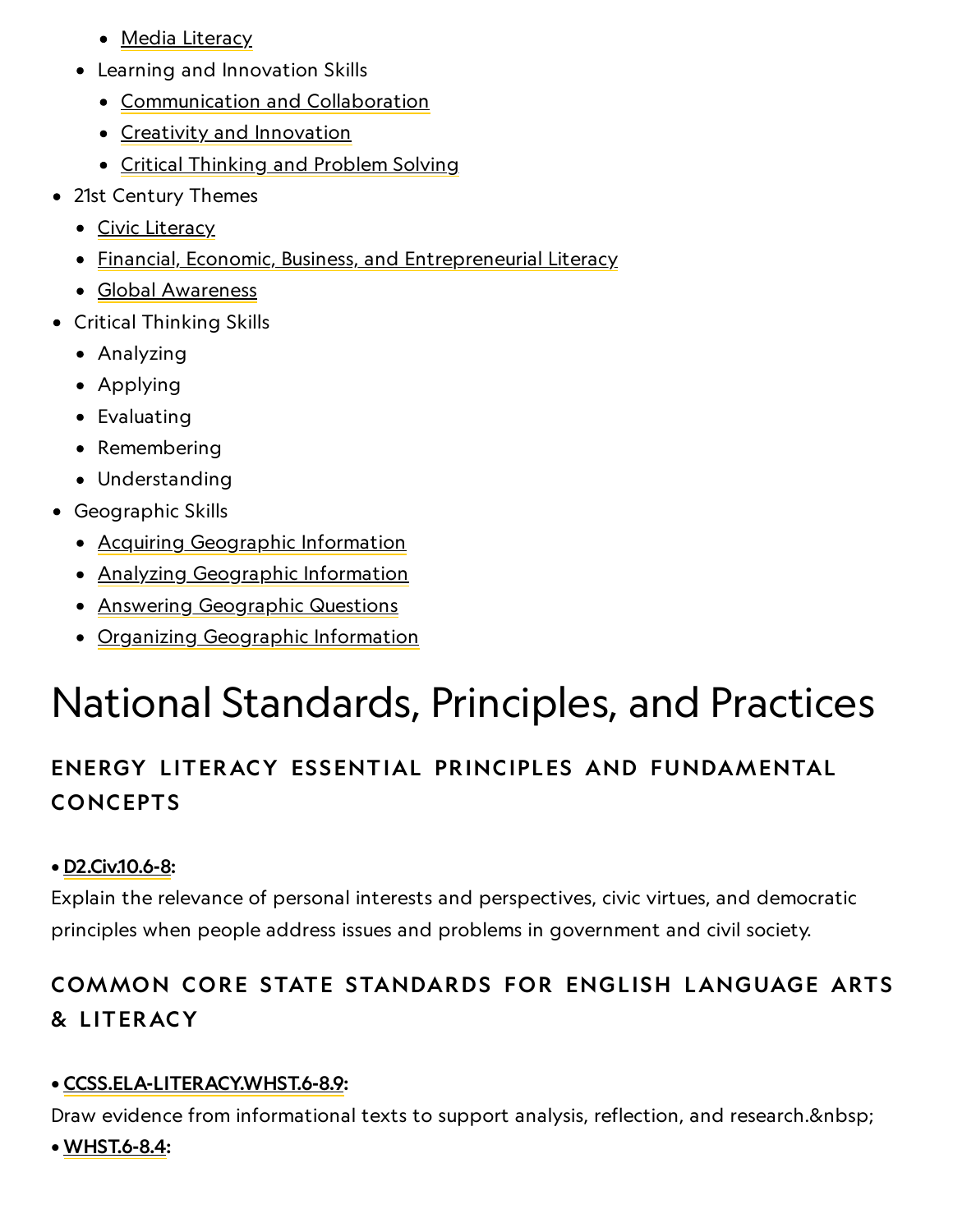- Media [Literacy](http://www.p21.org/index.php?option=com_content&task=view&id=349&Itemid=120)
- Learning and Innovation Skills
	- [Communication](http://www.p21.org/index.php?option=com_content&task=view&id=261&Itemid=120) and Collaboration
	- Creativity and [Innovation](http://www.p21.org/index.php?option=com_content&task=view&id=262&Itemid=120)
	- **Critical [Thinking](http://www.p21.org/index.php?option=com_content&task=view&id=260&Itemid=120) and Problem Solving**
- 21st Century Themes
	- Civic [Literacy](http://www.p21.org/index.php?option=com_content&task=view&id=258&Itemid=120)
	- **[Financial, Economic, Business, and](http://www.p21.org/index.php?option=com_content&task=view&id=257&Itemid=120) Entrepreneurial Literacy**
	- Global [Awareness](http://www.p21.org/index.php?option=com_content&task=view&id=256&Itemid=120)
- Critical Thinking Skills
	- Analyzing
	- Applying
	- Evaluating
	- Remembering
	- Understanding
- Geographic Skills
	- Acquiring [Geographic](https://www.nationalgeographic.org/geographic-skills/2/) Information
	- Analyzing [Geographic](http://education.nationalgeographic.com/education/geographic-skills/4/?ar_a=1) Information
	- Answering [Geographic](http://education.nationalgeographic.com/education/geographic-skills/5/?ar_a=1) Questions
	- Organizing [Geographic](http://education.nationalgeographic.com/education/geographic-skills/3/?ar_a=1) Information

## National Standards, Principles, and Practices

## ENERGY L ITERACY ESSENTIAL PRINCIPLES AND FUNDAMENTAL **CONCEPTS**

### • [D2.Civ.10.6-8:](https://www.socialstudies.org/sites/default/files/2017/Jun/c3-framework-for-social-studies-rev0617.pdf)

Explain the relevance of personal interests and perspectives, civic virtues, and democratic principles when people address issues and problems in government and civil society.

## COMMON CORE STATE STANDARDS FOR ENGLISH LANGUAGE ARTS & L ITERACY

## • [CCSS.ELA-LITERACY.WHST.6-8.9:](http://www.corestandards.org/ELA-Literacy/WHST/6-8/9/)

Draw evidence from informational texts to support analysis, reflection, and research.

• [WHST.6-8.4:](http://www.corestandards.org/ELA-Literacy/WHST/6-8/4/)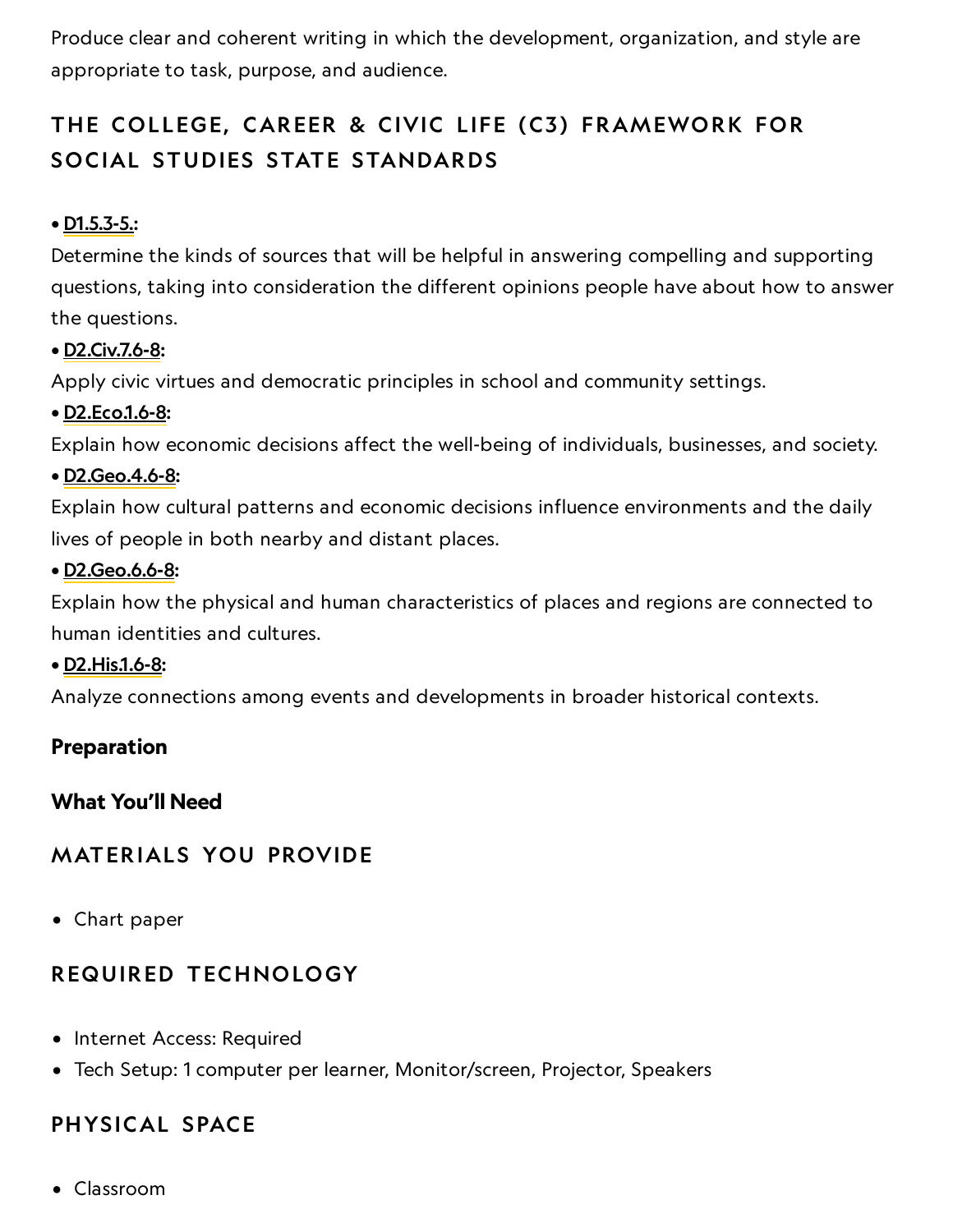Produce clear and coherent writing in which the development, organization, and style are appropriate to task, purpose, and audience.

## THE COLLEGE, CAREER & CIVIC LIFE (C3) FRAMEWORK FOR SOCIAL STUDIES STATE STANDARDS

### • [D1.5.3-5.:](https://www.socialstudies.org/sites/default/files/c3/C3-Framework-for-Social-Studies.pdf)

Determine the kinds of sources that will be helpful in answering compelling and supporting questions, taking into consideration the different opinions people have about how to answer the questions.

### • [D2.Civ.7.6-8](https://www.socialstudies.org/sites/default/files/c3/C3-Framework-for-Social-Studies.pdf):

Apply civic virtues and democratic principles in school and community settings.

### • [D2.Eco.1.6-8:](https://www.socialstudies.org/sites/default/files/2017/Jun/c3-framework-for-social-studies-rev0617.pdf)

Explain how economic decisions affect the well-being of individuals, businesses, and society.

#### • [D2.Geo.4.6-8:](https://www.socialstudies.org/sites/default/files/2017/Jun/c3-framework-for-social-studies-rev0617.pdf)

Explain how cultural patterns and economic decisions influence environments and the daily lives of people in both nearby and distant places.

#### • [D2.Geo.6.6-8](https://www.socialstudies.org/sites/default/files/c3/C3-Framework-for-Social-Studies.pdf):

Explain how the physical and human characteristics of places and regions are connected to human identities and cultures.

#### • [D2.His.1.6-8:](https://www.socialstudies.org/sites/default/files/2017/Jun/c3-framework-for-social-studies-rev0617.pdf)

Analyze connections among events and developments in broader historical contexts.

### Preparation

What You'll Need

### **MATERIALS YOU PROVIDE**

Chart paper

### REQUIRED TECHNOLOGY

- Internet Access: Required
- Tech Setup: 1 computer per learner, Monitor/screen, Projector, Speakers

### PHYSICAL SPACE

Classroom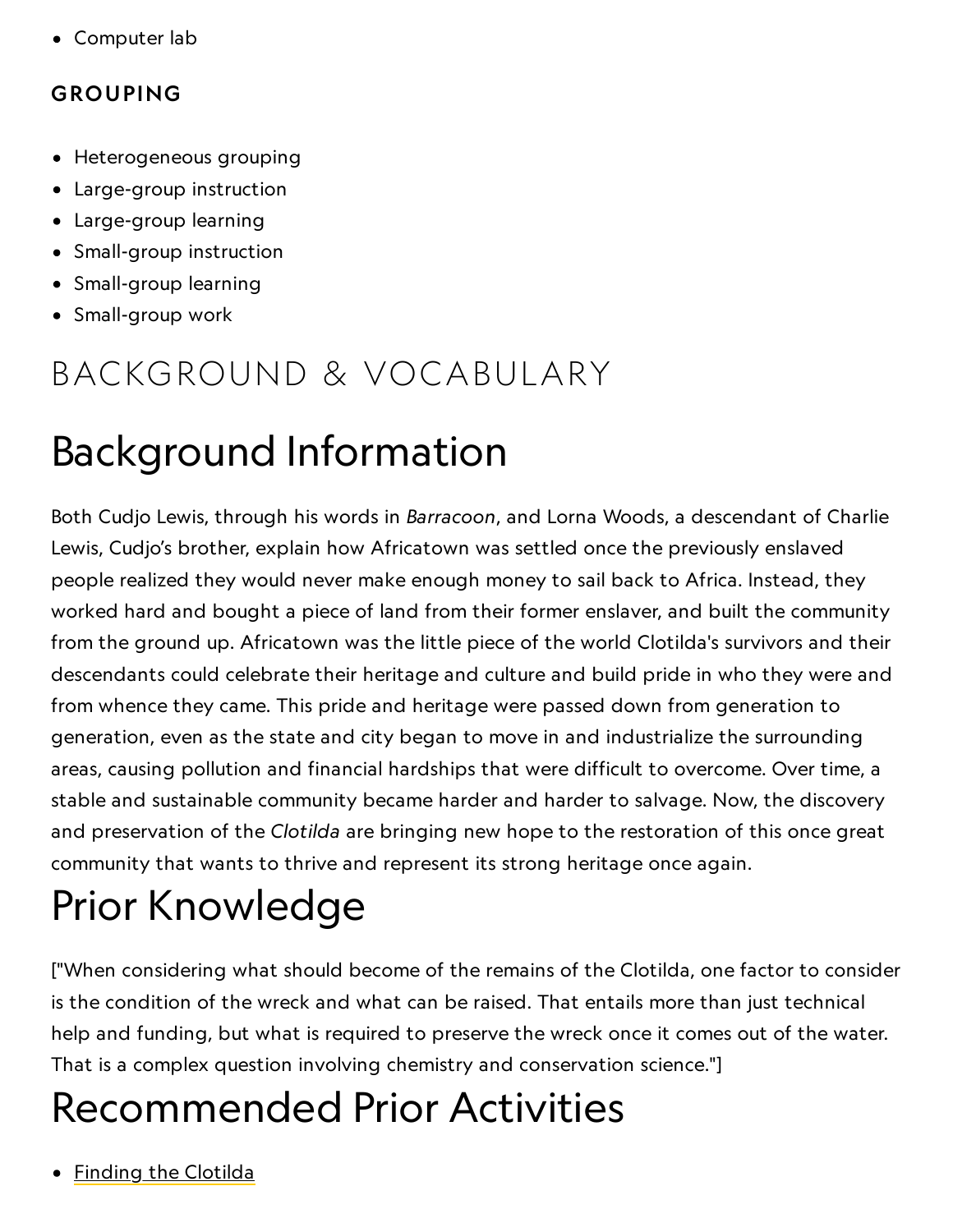Computer lab

## GROUPING

- Heterogeneous grouping
- Large-group instruction
- Large-group learning
- Small-group instruction
- Small-group learning
- Small-group work

## BACKGROUND & VOCABULARY

## Background Information

Both Cudjo Lewis, through his words in Barracoon, and Lorna Woods, a descendant of Charlie Lewis, Cudjo's brother, explain how Africatown was settled once the previously enslaved people realized they would never make enough money to sail back to Africa. Instead, they worked hard and bought a piece of land from their former enslaver, and built the community from the ground up. Africatown was the little piece of the world Clotilda's survivors and their descendants could celebrate their heritage and culture and build pride in who they were and from whence they came. This pride and heritage were passed down from generation to generation, even as the state and city began to move in and industrialize the surrounding areas, causing pollution and financial hardships that were difficult to overcome. Over time, a stable and sustainable community became harder and harder to salvage. Now, the discovery and preservation of the Clotilda are bringing new hope to the restoration of this once great community that wants to thrive and represent its strong heritage once again.

# Prior Knowledge

["When considering what should become of the remains of the Clotilda, one factor to consider is the condition of the wreck and what can be raised. That entails more than just technical help and funding, but what is required to preserve the wreck once it comes out of the water. That is a complex question involving chemistry and conservation science."]

## Recommended Prior Activities

• Finding the [Clotilda](https://www.nationalgeographic.org/activity/finding-clotilda/)